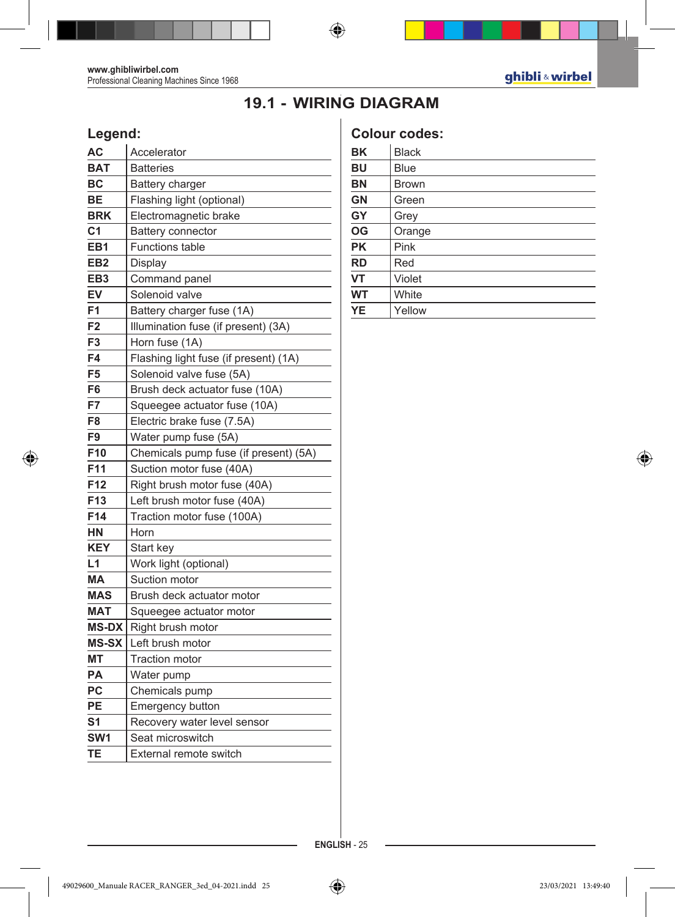## **19.1 - WIRING DIAGRAM**

## **Legend:**

| АC              | Accelerator                           |
|-----------------|---------------------------------------|
| <b>BAT</b>      | <b>Batteries</b>                      |
| ВC              | <b>Battery charger</b>                |
| BЕ              | Flashing light (optional)             |
| <b>BRK</b>      | Electromagnetic brake                 |
| C1              | Battery connector                     |
| EB1             | <b>Functions table</b>                |
| EB <sub>2</sub> | Display                               |
| EB <sub>3</sub> | Command panel                         |
| EV              | Solenoid valve                        |
| F1              | Battery charger fuse (1A)             |
| F <sub>2</sub>  | Illumination fuse (if present) (3A)   |
| F3              | Horn fuse (1A)                        |
| F4              | Flashing light fuse (if present) (1A) |
| F <sub>5</sub>  | Solenoid valve fuse (5A)              |
| F6              | Brush deck actuator fuse (10A)        |
| F7              | Squeegee actuator fuse (10A)          |
| F8              | Electric brake fuse (7.5A)            |
| F9              | Water pump fuse (5A)                  |
| F <sub>10</sub> | Chemicals pump fuse (if present) (5A) |
| F11             | Suction motor fuse (40A)              |
| F12             | Right brush motor fuse (40A)          |
| F <sub>13</sub> | Left brush motor fuse (40A)           |
| F <sub>14</sub> | Traction motor fuse (100A)            |
| HN              | Horn                                  |
| <b>KEY</b>      | Start key                             |
| L <sub>1</sub>  | Work light (optional)                 |
| MA              | Suction motor                         |
| <b>MAS</b>      | Brush deck actuator motor             |
| <b>MAT</b>      | Squeegee actuator motor               |
| <b>MS-DX</b>    | Right brush motor                     |
| <b>MS-SX</b>    | Left brush motor                      |
| MТ              | <b>Traction motor</b>                 |
| PA              | Water pump                            |
| PC              | Chemicals pump                        |
| PЕ              | Emergency button                      |
| S <sub>1</sub>  | Recovery water level sensor           |
| SW <sub>1</sub> | Seat microswitch                      |
| TE              | External remote switch                |

## **Colour codes:**

| BK        | <b>Black</b> |
|-----------|--------------|
| <b>BU</b> | <b>Blue</b>  |
| <b>BN</b> | <b>Brown</b> |
| <b>GN</b> | Green        |
| GY        | Grey         |
| OG        | Orange       |
| <b>PK</b> | Pink         |
| <b>RD</b> | Red          |
| VT        | Violet       |
| <b>WT</b> | White        |
| <b>YE</b> | Yellow       |